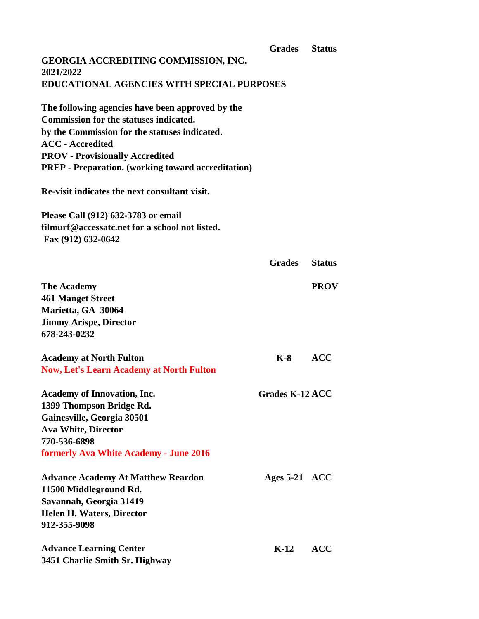|                                                           | <b>Grades</b>          | <b>Status</b> |
|-----------------------------------------------------------|------------------------|---------------|
| GEORGIA ACCREDITING COMMISSION, INC.<br>2021/2022         |                        |               |
| <b>EDUCATIONAL AGENCIES WITH SPECIAL PURPOSES</b>         |                        |               |
| The following agencies have been approved by the          |                        |               |
| <b>Commission for the statuses indicated.</b>             |                        |               |
| by the Commission for the statuses indicated.             |                        |               |
| <b>ACC</b> - Accredited                                   |                        |               |
| <b>PROV</b> - Provisionally Accredited                    |                        |               |
| <b>PREP</b> - Preparation. (working toward accreditation) |                        |               |
| Re-visit indicates the next consultant visit.             |                        |               |
| Please Call (912) 632-3783 or email                       |                        |               |
| filmurf@accessatc.net for a school not listed.            |                        |               |
| Fax (912) 632-0642                                        |                        |               |
|                                                           | <b>Grades</b>          | <b>Status</b> |
| <b>The Academy</b>                                        |                        | <b>PROV</b>   |
| <b>461 Manget Street</b>                                  |                        |               |
| Marietta, GA 30064                                        |                        |               |
| <b>Jimmy Arispe, Director</b>                             |                        |               |
| 678-243-0232                                              |                        |               |
|                                                           |                        |               |
| <b>Academy at North Fulton</b>                            | <b>K-8</b>             | <b>ACC</b>    |
| <b>Now, Let's Learn Academy at North Fulton</b>           |                        |               |
| <b>Academy of Innovation, Inc.</b>                        | <b>Grades K-12 ACC</b> |               |
| 1399 Thompson Bridge Rd.                                  |                        |               |
| Gainesville, Georgia 30501                                |                        |               |
| <b>Ava White, Director</b>                                |                        |               |
| 770-536-6898                                              |                        |               |
| <b>formerly Ava White Academy - June 2016</b>             |                        |               |
| <b>Advance Academy At Matthew Reardon</b>                 | Ages $5-21$ ACC        |               |
| 11500 Middleground Rd.                                    |                        |               |
| Savannah, Georgia 31419                                   |                        |               |
| <b>Helen H. Waters, Director</b>                          |                        |               |
| 912-355-9098                                              |                        |               |
| <b>Advance Learning Center</b>                            | $K-12$                 | <b>ACC</b>    |
| 3451 Charlie Smith Sr. Highway                            |                        |               |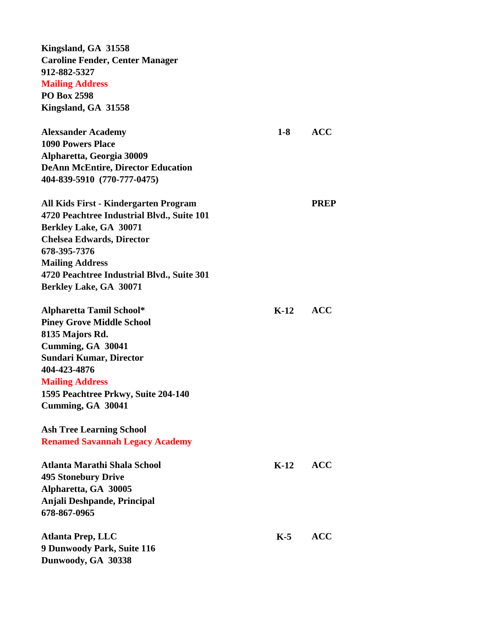**Kingsland, GA 31558 Caroline Fender, Center Manager 912-882-5327 Mailing Address**

**PO Box 2598 Kingsland, GA 31558**

| <b>Alexsander Academy</b>                  | $1-8$  | <b>ACC</b>  |
|--------------------------------------------|--------|-------------|
| <b>1090 Powers Place</b>                   |        |             |
| Alpharetta, Georgia 30009                  |        |             |
| <b>DeAnn McEntire, Director Education</b>  |        |             |
| 404-839-5910 (770-777-0475)                |        |             |
| All Kids First - Kindergarten Program      |        | <b>PREP</b> |
| 4720 Peachtree Industrial Blvd., Suite 101 |        |             |
| Berkley Lake, GA 30071                     |        |             |
| <b>Chelsea Edwards, Director</b>           |        |             |
| 678-395-7376                               |        |             |
| <b>Mailing Address</b>                     |        |             |
| 4720 Peachtree Industrial Blvd., Suite 301 |        |             |
| <b>Berkley Lake, GA 30071</b>              |        |             |
| <b>Alpharetta Tamil School*</b>            | $K-12$ | <b>ACC</b>  |
| <b>Piney Grove Middle School</b>           |        |             |
| 8135 Majors Rd.                            |        |             |
| Cumming, GA 30041                          |        |             |
| <b>Sundari Kumar, Director</b>             |        |             |
| 404-423-4876                               |        |             |
| <b>Mailing Address</b>                     |        |             |
| 1595 Peachtree Prkwy, Suite 204-140        |        |             |
| Cumming, GA 30041                          |        |             |
| <b>Ash Tree Learning School</b>            |        |             |
| <b>Renamed Savannah Legacy Academy</b>     |        |             |
| Atlanta Marathi Shala School               | $K-12$ | <b>ACC</b>  |
| <b>495 Stonebury Drive</b>                 |        |             |
| Alpharetta, GA 30005                       |        |             |
| Anjali Deshpande, Principal                |        |             |
| 678-867-0965                               |        |             |
| Atlanta Prep, LLC                          | $K-5$  | <b>ACC</b>  |
| 9 Dunwoody Park, Suite 116                 |        |             |
| Dunwoody, GA 30338                         |        |             |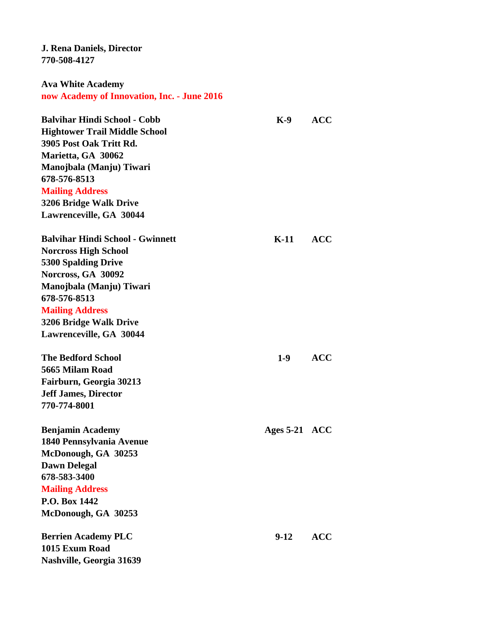**J. Rena Daniels, Director 770-508-4127**

**Ava White Academy now Academy of Innovation, Inc. - June 2016**

| <b>Balvihar Hindi School - Cobb</b>     | $K-9$           | <b>ACC</b> |
|-----------------------------------------|-----------------|------------|
| <b>Hightower Trail Middle School</b>    |                 |            |
| 3905 Post Oak Tritt Rd.                 |                 |            |
| Marietta, GA 30062                      |                 |            |
| Manojbala (Manju) Tiwari                |                 |            |
| 678-576-8513                            |                 |            |
| <b>Mailing Address</b>                  |                 |            |
| 3206 Bridge Walk Drive                  |                 |            |
| Lawrenceville, GA 30044                 |                 |            |
| <b>Balvihar Hindi School - Gwinnett</b> | $K-11$          | <b>ACC</b> |
| <b>Norcross High School</b>             |                 |            |
| <b>5300 Spalding Drive</b>              |                 |            |
| Norcross, GA 30092                      |                 |            |
| Manojbala (Manju) Tiwari                |                 |            |
| 678-576-8513                            |                 |            |
| <b>Mailing Address</b>                  |                 |            |
| 3206 Bridge Walk Drive                  |                 |            |
| Lawrenceville, GA 30044                 |                 |            |
| <b>The Bedford School</b>               | $1-9$           | <b>ACC</b> |
| 5665 Milam Road                         |                 |            |
| Fairburn, Georgia 30213                 |                 |            |
| <b>Jeff James, Director</b>             |                 |            |
| 770-774-8001                            |                 |            |
| <b>Benjamin Academy</b>                 | Ages $5-21$ ACC |            |
| 1840 Pennsylvania Avenue                |                 |            |
| McDonough, GA 30253                     |                 |            |
| <b>Dawn Delegal</b>                     |                 |            |
| 678-583-3400                            |                 |            |
| <b>Mailing Address</b>                  |                 |            |
| P.O. Box 1442                           |                 |            |
| McDonough, GA 30253                     |                 |            |
| <b>Berrien Academy PLC</b>              | $9-12$          | <b>ACC</b> |
| 1015 Exum Road                          |                 |            |
| Nashville, Georgia 31639                |                 |            |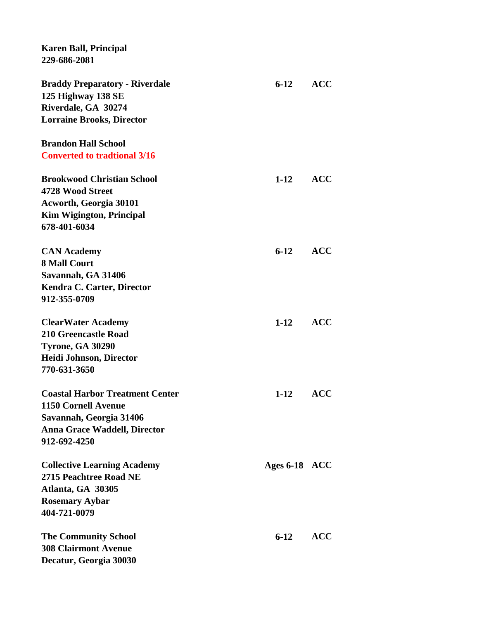**Karen Ball, Principal 229-686-2081 Braddy Preparatory - Riverdale 6-12 ACC 125 Highway 138 SE Riverdale, GA 30274 Lorraine Brooks, Director Brandon Hall School Converted to tradtional 3/16 Brookwood Christian School 1-12 ACC 4728 Wood Street Acworth, Georgia 30101 Kim Wigington, Principal 678-401-6034 CAN Academy 6-12 ACC 8 Mall Court Savannah, GA 31406 Kendra C. Carter, Director 912-355-0709 ClearWater Academy 1-12 ACC 210 Greencastle Road Tyrone, GA 30290 Heidi Johnson, Director 770-631-3650 Coastal Harbor Treatment Center 1-12 ACC 1150 Cornell Avenue Savannah, Georgia 31406 Anna Grace Waddell, Director 912-692-4250 Collective Learning Academy Ages 6-18 ACC 2715 Peachtree Road NE Atlanta, GA 30305 Rosemary Aybar 404-721-0079 The Community School 6-12 ACC 308 Clairmont Avenue Decatur, Georgia 30030**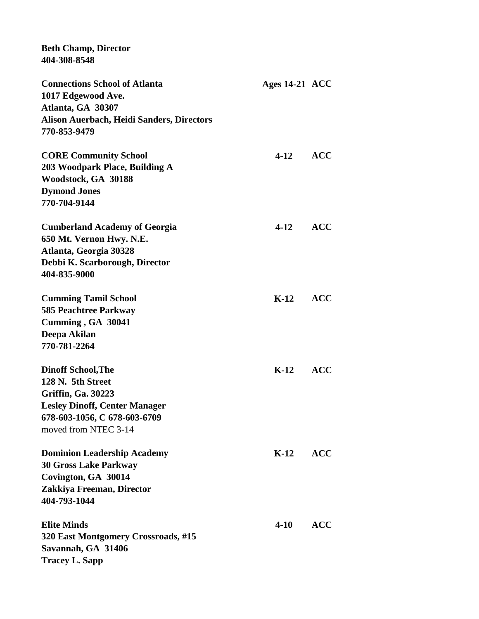| <b>Beth Champ, Director</b><br>404-308-8548                      |                  |            |
|------------------------------------------------------------------|------------------|------------|
| <b>Connections School of Atlanta</b>                             | Ages $14-21$ ACC |            |
| 1017 Edgewood Ave.                                               |                  |            |
| Atlanta, GA 30307                                                |                  |            |
| <b>Alison Auerbach, Heidi Sanders, Directors</b><br>770-853-9479 |                  |            |
| <b>CORE Community School</b>                                     | $4-12$           | <b>ACC</b> |
| 203 Woodpark Place, Building A                                   |                  |            |
| Woodstock, GA 30188                                              |                  |            |
| <b>Dymond Jones</b>                                              |                  |            |
| 770-704-9144                                                     |                  |            |
| <b>Cumberland Academy of Georgia</b>                             | $4 - 12$         | <b>ACC</b> |
| 650 Mt. Vernon Hwy. N.E.                                         |                  |            |
| Atlanta, Georgia 30328                                           |                  |            |
| Debbi K. Scarborough, Director                                   |                  |            |
| 404-835-9000                                                     |                  |            |
| <b>Cumming Tamil School</b>                                      | $K-12$ ACC       |            |
| <b>585 Peachtree Parkway</b>                                     |                  |            |
| Cumming, GA 30041                                                |                  |            |
| Deepa Akilan                                                     |                  |            |
| 770-781-2264                                                     |                  |            |
| <b>Dinoff School, The</b>                                        | $K-12$           | <b>ACC</b> |
| 128 N. 5th Street                                                |                  |            |
| <b>Griffin, Ga. 30223</b>                                        |                  |            |
| <b>Lesley Dinoff, Center Manager</b>                             |                  |            |
| 678-603-1056, C 678-603-6709                                     |                  |            |
| moved from NTEC 3-14                                             |                  |            |
| <b>Dominion Leadership Academy</b>                               | $K-12$           | <b>ACC</b> |
| <b>30 Gross Lake Parkway</b>                                     |                  |            |
| Covington, GA 30014                                              |                  |            |
| Zakkiya Freeman, Director                                        |                  |            |
| 404-793-1044                                                     |                  |            |
| <b>Elite Minds</b>                                               | $4 - 10$         | <b>ACC</b> |
| 320 East Montgomery Crossroads, #15                              |                  |            |
| Savannah, GA 31406                                               |                  |            |
| <b>Tracey L. Sapp</b>                                            |                  |            |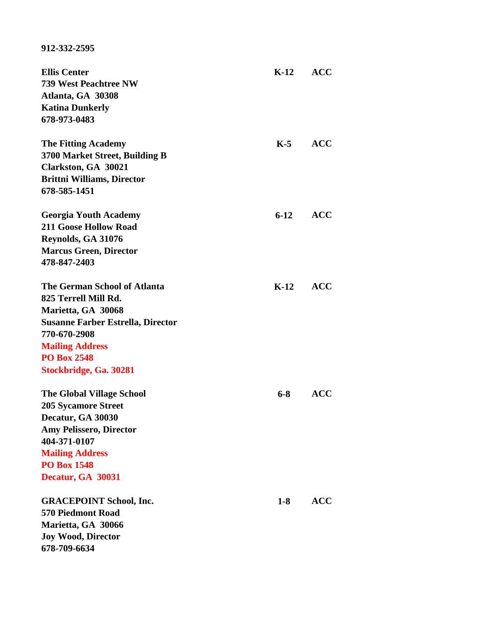## **912-332-2595**

| <b>Ellis Center</b>                      | $K-12$  | <b>ACC</b> |
|------------------------------------------|---------|------------|
| 739 West Peachtree NW                    |         |            |
| Atlanta, GA 30308                        |         |            |
| <b>Katina Dunkerly</b>                   |         |            |
| 678-973-0483                             |         |            |
| <b>The Fitting Academy</b>               | $K-5$   | <b>ACC</b> |
| 3700 Market Street, Building B           |         |            |
| Clarkston, GA 30021                      |         |            |
| <b>Brittni Williams, Director</b>        |         |            |
| 678-585-1451                             |         |            |
| <b>Georgia Youth Academy</b>             | $6-12$  | <b>ACC</b> |
| <b>211 Goose Hollow Road</b>             |         |            |
| Reynolds, GA 31076                       |         |            |
| <b>Marcus Green, Director</b>            |         |            |
| 478-847-2403                             |         |            |
| <b>The German School of Atlanta</b>      | $K-12$  | <b>ACC</b> |
| 825 Terrell Mill Rd.                     |         |            |
| Marietta, GA 30068                       |         |            |
| <b>Susanne Farber Estrella, Director</b> |         |            |
| 770-670-2908                             |         |            |
| <b>Mailing Address</b>                   |         |            |
| <b>PO Box 2548</b>                       |         |            |
| Stockbridge, Ga. 30281                   |         |            |
| <b>The Global Village School</b>         | $6 - 8$ | <b>ACC</b> |
| <b>205 Sycamore Street</b>               |         |            |
| Decatur, GA 30030                        |         |            |
| <b>Amy Pelissero, Director</b>           |         |            |
| 404-371-0107                             |         |            |
| <b>Mailing Address</b>                   |         |            |
| <b>PO Box 1548</b>                       |         |            |
| Decatur, GA 30031                        |         |            |
| <b>GRACEPOINT School, Inc.</b>           | $1 - 8$ | <b>ACC</b> |
| <b>570 Piedmont Road</b>                 |         |            |
| Marietta, GA 30066                       |         |            |
| <b>Joy Wood, Director</b>                |         |            |
| 678-709-6634                             |         |            |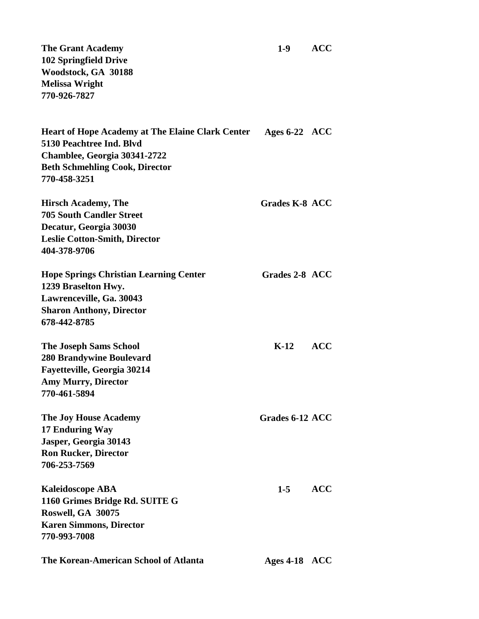**The Grant Academy 1-9 ACC 102 Springfield Drive Woodstock, GA 30188 Melissa Wright 770-926-7827**

| <b>Heart of Hope Academy at The Elaine Clark Center</b><br>5130 Peachtree Ind. Blvd | Ages $6-22$ ACC |  |
|-------------------------------------------------------------------------------------|-----------------|--|
| Chamblee, Georgia 30341-2722                                                        |                 |  |
| <b>Beth Schmehling Cook, Director</b>                                               |                 |  |
| 770-458-3251                                                                        |                 |  |
| Hirsch Academy, The                                                                 | Grades K-8 ACC  |  |
| <b>705 South Candler Street</b>                                                     |                 |  |
| Decatur, Georgia 30030                                                              |                 |  |
| Leeke Cetten Smith Diverter                                                         |                 |  |

**Leslie Cotton-Smith, Director 404-378-9706**

| <b>Hope Springs Christian Learning Center</b><br>1239 Braselton Hwy. | Grades 2-8 ACC  |      |
|----------------------------------------------------------------------|-----------------|------|
| Lawrenceville, Ga. 30043<br><b>Sharon Anthony, Director</b>          |                 |      |
| 678-442-8785                                                         |                 |      |
| <b>The Joseph Sams School</b>                                        | $K-12$          | ACC. |
| <b>280 Brandywine Boulevard</b>                                      |                 |      |
| <b>Fayetteville, Georgia 30214</b>                                   |                 |      |
| <b>Amy Murry, Director</b>                                           |                 |      |
| 770-461-5894                                                         |                 |      |
| <b>The Joy House Academy</b>                                         | Grades 6-12 ACC |      |

**17 Enduring Way Jasper, Georgia 30143 Ron Rucker, Director 706-253-7569**

**Kaleidoscope ABA 1-5 ACC 1160 Grimes Bridge Rd. SUITE G Roswell, GA 30075 Karen Simmons, Director 770-993-7008**

**The Korean-American School of Atlanta Ages 4-18 ACC**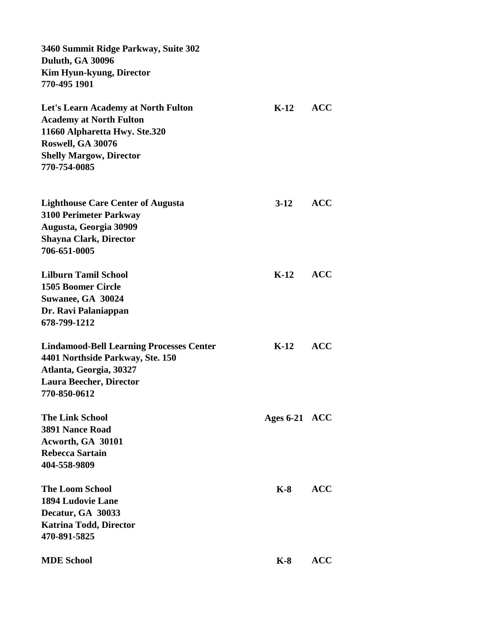| 3460 Summit Ridge Parkway, Suite 302<br>Duluth, GA 30096<br>Kim Hyun-kyung, Director                   |                 |            |  |
|--------------------------------------------------------------------------------------------------------|-----------------|------------|--|
| 770-495 1901                                                                                           |                 |            |  |
| Let's Learn Academy at North Fulton<br><b>Academy at North Fulton</b><br>11660 Alpharetta Hwy. Ste.320 | $K-12$          | <b>ACC</b> |  |
| Roswell, GA 30076                                                                                      |                 |            |  |
| <b>Shelly Margow, Director</b><br>770-754-0085                                                         |                 |            |  |
| <b>Lighthouse Care Center of Augusta</b><br><b>3100 Perimeter Parkway</b>                              | $3-12$          | <b>ACC</b> |  |
| Augusta, Georgia 30909<br><b>Shayna Clark, Director</b><br>706-651-0005                                |                 |            |  |
| <b>Lilburn Tamil School</b><br><b>1505 Boomer Circle</b>                                               | $K-12$          | <b>ACC</b> |  |
| Suwanee, GA 30024<br>Dr. Ravi Palaniappan<br>678-799-1212                                              |                 |            |  |
| <b>Lindamood-Bell Learning Processes Center</b>                                                        | $K-12$          | <b>ACC</b> |  |
| 4401 Northside Parkway, Ste. 150                                                                       |                 |            |  |
| Atlanta, Georgia, 30327<br><b>Laura Beecher, Director</b>                                              |                 |            |  |
| 770-850-0612                                                                                           |                 |            |  |
| <b>The Link School</b>                                                                                 | Ages $6-21$ ACC |            |  |
| <b>3891 Nance Road</b>                                                                                 |                 |            |  |
| Acworth, GA 30101<br>Rebecca Sartain                                                                   |                 |            |  |
| 404-558-9809                                                                                           |                 |            |  |
|                                                                                                        |                 |            |  |
| <b>The Loom School</b>                                                                                 | $K-8$           | <b>ACC</b> |  |
| <b>1894 Ludovie Lane</b>                                                                               |                 |            |  |
| Decatur, GA 30033                                                                                      |                 |            |  |
| <b>Katrina Todd, Director</b><br>470-891-5825                                                          |                 |            |  |
| <b>MDE School</b>                                                                                      | $K-8$           | <b>ACC</b> |  |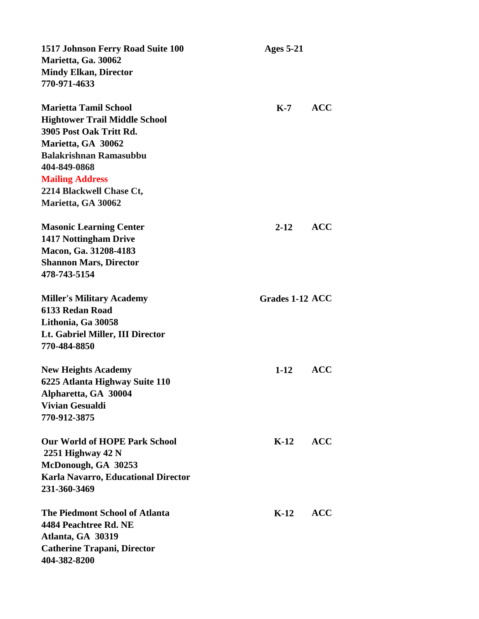| 1517 Johnson Ferry Road Suite 100          | <b>Ages 5-21</b> |            |
|--------------------------------------------|------------------|------------|
| Marietta, Ga. 30062                        |                  |            |
| <b>Mindy Elkan, Director</b>               |                  |            |
| 770-971-4633                               |                  |            |
|                                            |                  |            |
| <b>Marietta Tamil School</b>               | $K-7$            | <b>ACC</b> |
| <b>Hightower Trail Middle School</b>       |                  |            |
| 3905 Post Oak Tritt Rd.                    |                  |            |
| Marietta, GA 30062                         |                  |            |
| <b>Balakrishnan Ramasubbu</b>              |                  |            |
| 404-849-0868                               |                  |            |
| <b>Mailing Address</b>                     |                  |            |
| 2214 Blackwell Chase Ct,                   |                  |            |
| Marietta, GA 30062                         |                  |            |
|                                            |                  |            |
| <b>Masonic Learning Center</b>             | $2 - 12$         | <b>ACC</b> |
| <b>1417 Nottingham Drive</b>               |                  |            |
| Macon, Ga. 31208-4183                      |                  |            |
| <b>Shannon Mars, Director</b>              |                  |            |
| 478-743-5154                               |                  |            |
|                                            |                  |            |
| <b>Miller's Military Academy</b>           | Grades 1-12 ACC  |            |
| 6133 Redan Road                            |                  |            |
| Lithonia, Ga 30058                         |                  |            |
| Lt. Gabriel Miller, III Director           |                  |            |
| 770-484-8850                               |                  |            |
|                                            |                  |            |
| <b>New Heights Academy</b>                 | $1-12$           | <b>ACC</b> |
| 6225 Atlanta Highway Suite 110             |                  |            |
| Alpharetta, GA 30004                       |                  |            |
| <b>Vivian Gesualdi</b>                     |                  |            |
| 770-912-3875                               |                  |            |
|                                            |                  |            |
| <b>Our World of HOPE Park School</b>       | $K-12$           | <b>ACC</b> |
| 2251 Highway $42 N$                        |                  |            |
| McDonough, GA 30253                        |                  |            |
| <b>Karla Navarro, Educational Director</b> |                  |            |
| 231-360-3469                               |                  |            |
|                                            |                  |            |
| <b>The Piedmont School of Atlanta</b>      | K-12             | <b>ACC</b> |
| 4484 Peachtree Rd. NE                      |                  |            |
| Atlanta, GA 30319                          |                  |            |
| <b>Catherine Trapani, Director</b>         |                  |            |
| 404-382-8200                               |                  |            |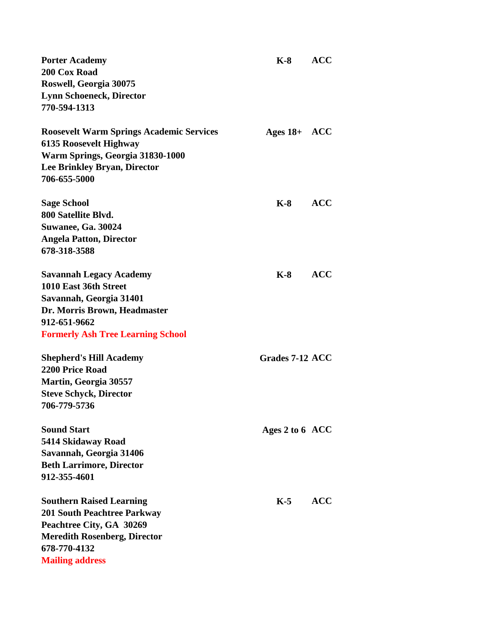| <b>Porter Academy</b><br>200 Cox Road<br>Roswell, Georgia 30075<br><b>Lynn Schoeneck, Director</b><br>770-594-1313                                                                 | $K-8$           | <b>ACC</b> |
|------------------------------------------------------------------------------------------------------------------------------------------------------------------------------------|-----------------|------------|
| <b>Roosevelt Warm Springs Academic Services</b><br><b>6135 Roosevelt Highway</b><br>Warm Springs, Georgia 31830-1000<br><b>Lee Brinkley Bryan, Director</b><br>706-655-5000        | Ages $18+$ ACC  |            |
| <b>Sage School</b><br>800 Satellite Blvd.<br><b>Suwanee, Ga. 30024</b><br><b>Angela Patton, Director</b><br>678-318-3588                                                           | $K-8$           | <b>ACC</b> |
| <b>Savannah Legacy Academy</b><br>1010 East 36th Street<br>Savannah, Georgia 31401<br>Dr. Morris Brown, Headmaster<br>912-651-9662<br><b>Formerly Ash Tree Learning School</b>     | $K-8$           | <b>ACC</b> |
| <b>Shepherd's Hill Academy</b><br>2200 Price Road<br>Martin, Georgia 30557<br><b>Steve Schyck, Director</b><br>706-779-5736                                                        | Grades 7-12 ACC |            |
| <b>Sound Start</b><br>5414 Skidaway Road<br>Savannah, Georgia 31406<br><b>Beth Larrimore, Director</b><br>912-355-4601                                                             | Ages 2 to 6 ACC |            |
| <b>Southern Raised Learning</b><br><b>201 South Peachtree Parkway</b><br>Peachtree City, GA 30269<br><b>Meredith Rosenberg, Director</b><br>678-770-4132<br><b>Mailing address</b> | $K-5$           | <b>ACC</b> |